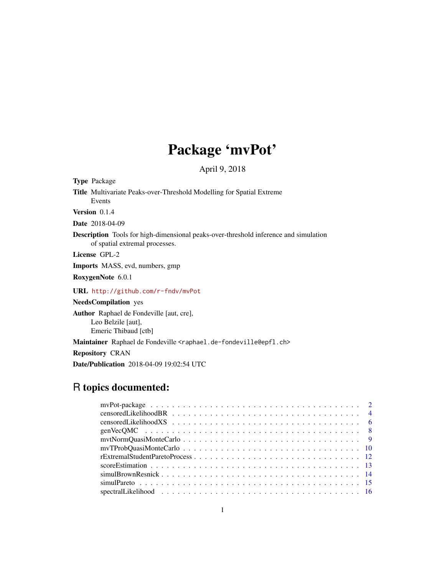# Package 'mvPot'

April 9, 2018

Type Package

Title Multivariate Peaks-over-Threshold Modelling for Spatial Extreme Events

Version 0.1.4

Date 2018-04-09

Description Tools for high-dimensional peaks-over-threshold inference and simulation of spatial extremal processes.

License GPL-2

Imports MASS, evd, numbers, gmp

RoxygenNote 6.0.1

URL <http://github.com/r-fndv/mvPot>

NeedsCompilation yes Author Raphael de Fondeville [aut, cre], Leo Belzile [aut], Emeric Thibaud [ctb]

Maintainer Raphael de Fondeville <raphael.de-fondeville@epfl.ch>

Repository CRAN

Date/Publication 2018-04-09 19:02:54 UTC

## R topics documented: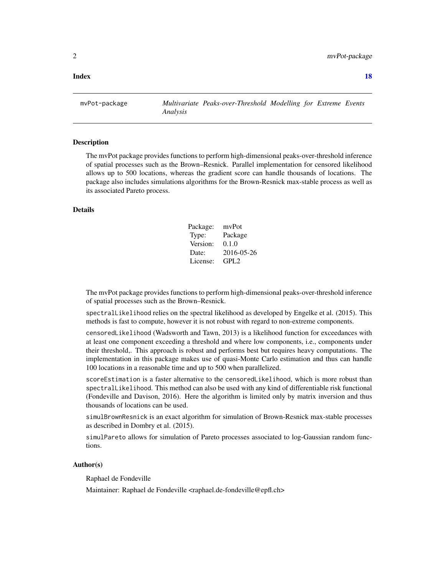#### <span id="page-1-0"></span>**Index** 2008 **[18](#page-17-0)**

mvPot-package *Multivariate Peaks-over-Threshold Modelling for Extreme Events Analysis*

#### **Description**

The mvPot package provides functions to perform high-dimensional peaks-over-threshold inference of spatial processes such as the Brown–Resnick. Parallel implementation for censored likelihood allows up to 500 locations, whereas the gradient score can handle thousands of locations. The package also includes simulations algorithms for the Brown-Resnick max-stable process as well as its associated Pareto process.

#### Details

| Package: | mvPot            |
|----------|------------------|
| Type:    | Package          |
| Version: | 0.1.0            |
| Date:    | 2016-05-26       |
| License: | GPL <sub>2</sub> |

The mvPot package provides functions to perform high-dimensional peaks-over-threshold inference of spatial processes such as the Brown–Resnick.

spectralLikelihood relies on the spectral likelihood as developed by Engelke et al. (2015). This methods is fast to compute, however it is not robust with regard to non-extreme components.

censoredLikelihood (Wadsworth and Tawn, 2013) is a likelihood function for exceedances with at least one component exceeding a threshold and where low components, i.e., components under their threshold,. This approach is robust and performs best but requires heavy computations. The implementation in this package makes use of quasi-Monte Carlo estimation and thus can handle 100 locations in a reasonable time and up to 500 when parallelized.

scoreEstimation is a faster alternative to the censoredLikelihood, which is more robust than spectralLikelihood. This method can also be used with any kind of differentiable risk functional (Fondeville and Davison, 2016). Here the algorithm is limited only by matrix inversion and thus thousands of locations can be used.

simulBrownResnick is an exact algorithm for simulation of Brown-Resnick max-stable processes as described in Dombry et al. (2015).

simulPareto allows for simulation of Pareto processes associated to log-Gaussian random functions.

#### Author(s)

Raphael de Fondeville

Maintainer: Raphael de Fondeville <raphael.de-fondeville@epfl.ch>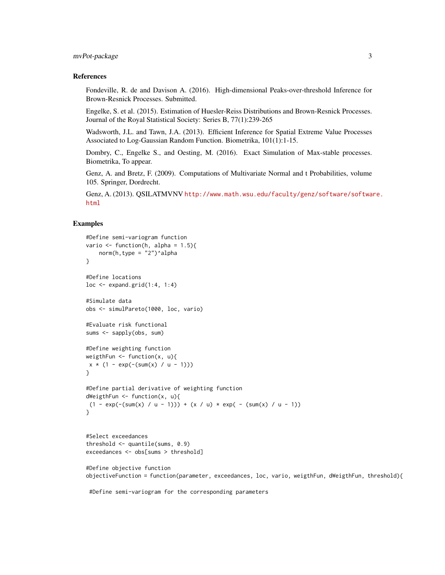#### mvPot-package 3

#### References

Fondeville, R. de and Davison A. (2016). High-dimensional Peaks-over-threshold Inference for Brown-Resnick Processes. Submitted.

Engelke, S. et al. (2015). Estimation of Huesler-Reiss Distributions and Brown-Resnick Processes. Journal of the Royal Statistical Society: Series B, 77(1):239-265

Wadsworth, J.L. and Tawn, J.A. (2013). Efficient Inference for Spatial Extreme Value Processes Associated to Log-Gaussian Random Function. Biometrika, 101(1):1-15.

Dombry, C., Engelke S., and Oesting, M. (2016). Exact Simulation of Max-stable processes. Biometrika, To appear.

Genz, A. and Bretz, F. (2009). Computations of Multivariate Normal and t Probabilities, volume 105. Springer, Dordrecht.

Genz, A. (2013). QSILATMVNV [http://www.math.wsu.edu/faculty/genz/software/softwa](http://www.math.wsu.edu/faculty/genz/software/software.html)re. [html](http://www.math.wsu.edu/faculty/genz/software/software.html)

```
#Define semi-variogram function
vario \le function(h, alpha = 1.5){
   norm(h,type = "2")^alpha
}
#Define locations
loc \leq - expand.grid(1:4, 1:4)#Simulate data
obs <- simulPareto(1000, loc, vario)
#Evaluate risk functional
sums <- sapply(obs, sum)
#Define weighting function
weigthFun <- function(x, u){
x * (1 - exp(-(sum(x) / u - 1)))}
#Define partial derivative of weighting function
dWeigthFun \leq function(x, u){
 (1 - \exp(-(sum(x) / u - 1))) + (x / u) * \exp(-(sum(x) / u - 1))}
#Select exceedances
threshold \leq quantile(sums, 0.9)
exceedances <- obs[sums > threshold]
#Define objective function
objectiveFunction = function(parameter, exceedances, loc, vario, weigthFun, dWeigthFun, threshold){
 #Define semi-variogram for the corresponding parameters
```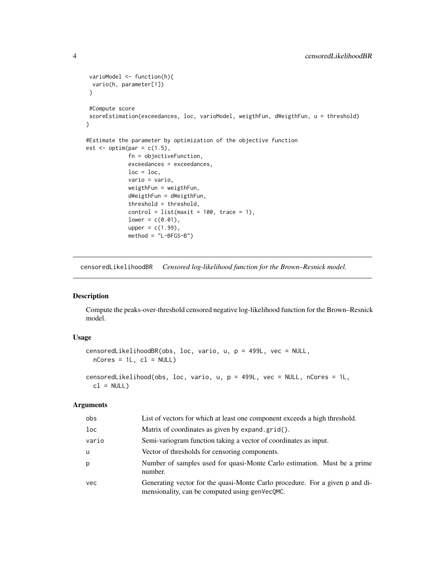```
varioModel <- function(h){
 vario(h, parameter[1])
}
#Compute score
scoreEstimation(exceedances, loc, varioModel, weigthFun, dWeigthFun, u = threshold)
}
#Estimate the parameter by optimization of the objective function
est \leq optim(par = c(1.5),
             fn = objectiveFunction,
             exceedances = exceedances,
             loc = loc,vario = vario,
             weigthFun = weigthFun,
             dWeigthFun = dWeigthFun,
             threshold = threshold,
             control = list(maxit = 100, trace = 1),lower = c(0.01),
             upper = c(1.99),
             method = "L-BFGS-B")
```
censoredLikelihoodBR *Censored log-likelihood function for the Brown–Resnick model.*

#### Description

Compute the peaks-over-threshold censored negative log-likelihood function for the Brown–Resnick model.

#### Usage

```
censoredLikelihoodBR(obs, loc, vario, u, p = 499L, vec = NULL,
  nCores = 1L, c1 = NULL
```

```
censoredLikelihood(obs, loc, vario, u, p = 499L, vec = NULL, nCores = 1L,
 cl = NULL
```

| obs        | List of vectors for which at least one component exceeds a high threshold.                                                     |
|------------|--------------------------------------------------------------------------------------------------------------------------------|
| loc        | Matrix of coordinates as given by expand.grid().                                                                               |
| vario      | Semi-variogram function taking a vector of coordinates as input.                                                               |
| u          | Vector of thresholds for censoring components.                                                                                 |
| p          | Number of samples used for quasi-Monte Carlo estimation. Must be a prime<br>number.                                            |
| <b>vec</b> | Generating vector for the quasi-Monte Carlo procedure. For a given p and di-<br>mensionality, can be computed using genVecQMC. |

<span id="page-3-0"></span>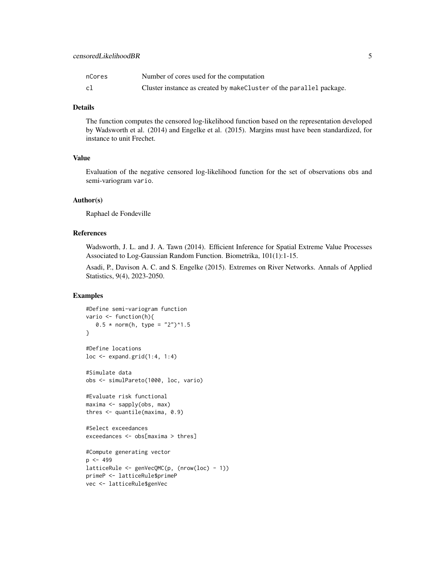| nCores | Number of cores used for the computation                             |
|--------|----------------------------------------------------------------------|
| cl     | Cluster instance as created by make Cluster of the parallel package. |

#### Details

The function computes the censored log-likelihood function based on the representation developed by Wadsworth et al. (2014) and Engelke et al. (2015). Margins must have been standardized, for instance to unit Frechet.

#### Value

Evaluation of the negative censored log-likelihood function for the set of observations obs and semi-variogram vario.

#### Author(s)

Raphael de Fondeville

#### References

Wadsworth, J. L. and J. A. Tawn (2014). Efficient Inference for Spatial Extreme Value Processes Associated to Log-Gaussian Random Function. Biometrika, 101(1):1-15.

Asadi, P., Davison A. C. and S. Engelke (2015). Extremes on River Networks. Annals of Applied Statistics, 9(4), 2023-2050.

```
#Define semi-variogram function
vario <- function(h){
  0.5 * norm(h, type = "2")^1.5}
#Define locations
loc <- expand.grid(1:4, 1:4)
#Simulate data
obs <- simulPareto(1000, loc, vario)
#Evaluate risk functional
maxima <- sapply(obs, max)
thres <- quantile(maxima, 0.9)
#Select exceedances
exceedances <- obs[maxima > thres]
#Compute generating vector
p \le -499latticeRule <- genVecQMC(p, (nrow(loc) - 1))
primeP <- latticeRule$primeP
vec <- latticeRule$genVec
```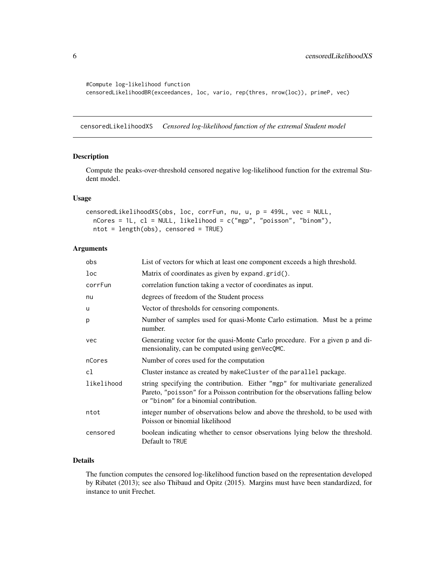```
#Compute log-likelihood function
censoredLikelihoodBR(exceedances, loc, vario, rep(thres, nrow(loc)), primeP, vec)
```
censoredLikelihoodXS *Censored log-likelihood function of the extremal Student model*

#### Description

Compute the peaks-over-threshold censored negative log-likelihood function for the extremal Student model.

#### Usage

```
censoredLikelihoodXS(obs, loc, corrFun, nu, u, p = 499L, vec = NULL,
  nCores = 1L, cl = NULL, likelihood = c("mgp", "poisson", "binom"),
 ntot = length(obs), censored = TRUE)
```
#### Arguments

| obs        | List of vectors for which at least one component exceeds a high threshold.                                                                                                                                  |
|------------|-------------------------------------------------------------------------------------------------------------------------------------------------------------------------------------------------------------|
| loc        | Matrix of coordinates as given by expand.grid().                                                                                                                                                            |
| corrFun    | correlation function taking a vector of coordinates as input.                                                                                                                                               |
| nu         | degrees of freedom of the Student process                                                                                                                                                                   |
| u          | Vector of thresholds for censoring components.                                                                                                                                                              |
| p          | Number of samples used for quasi-Monte Carlo estimation. Must be a prime<br>number.                                                                                                                         |
| vec        | Generating vector for the quasi-Monte Carlo procedure. For a given p and di-<br>mensionality, can be computed using genVecQMC.                                                                              |
| nCores     | Number of cores used for the computation                                                                                                                                                                    |
| c1         | Cluster instance as created by make Cluster of the parallel package.                                                                                                                                        |
| likelihood | string specifying the contribution. Either "mgp" for multivariate generalized<br>Pareto, "poisson" for a Poisson contribution for the observations falling below<br>or "binom" for a binomial contribution. |
| ntot       | integer number of observations below and above the threshold, to be used with<br>Poisson or binomial likelihood                                                                                             |
| censored   | boolean indicating whether to censor observations lying below the threshold.<br>Default to TRUE                                                                                                             |

#### Details

The function computes the censored log-likelihood function based on the representation developed by Ribatet (2013); see also Thibaud and Opitz (2015). Margins must have been standardized, for instance to unit Frechet.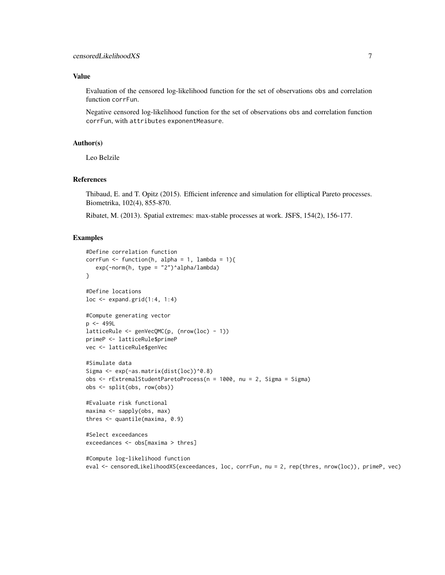#### Value

Evaluation of the censored log-likelihood function for the set of observations obs and correlation function corrFun.

Negative censored log-likelihood function for the set of observations obs and correlation function corrFun, with attributes exponentMeasure.

### Author(s)

Leo Belzile

#### References

Thibaud, E. and T. Opitz (2015). Efficient inference and simulation for elliptical Pareto processes. Biometrika, 102(4), 855-870.

Ribatet, M. (2013). Spatial extremes: max-stable processes at work. JSFS, 154(2), 156-177.

```
#Define correlation function
corrFun <- function(h, alpha = 1, lambda = 1){
   exp(-norm(h, type = "2")^alpha/lambda)
}
#Define locations
loc <- expand.grid(1:4, 1:4)
#Compute generating vector
p \le -499LlatticeRule <- genVecQMC(p, (nrow(loc) - 1))
primeP <- latticeRule$primeP
vec <- latticeRule$genVec
#Simulate data
Sigma <- exp(-as.matrix(dist(loc))^0.8)
obs <- rExtremalStudentParetoProcess(n = 1000, nu = 2, Sigma = Sigma)
obs <- split(obs, row(obs))
#Evaluate risk functional
maxima <- sapply(obs, max)
thres <- quantile(maxima, 0.9)
#Select exceedances
exceedances <- obs[maxima > thres]
#Compute log-likelihood function
eval <- censoredLikelihoodXS(exceedances, loc, corrFun, nu = 2, rep(thres, nrow(loc)), primeP, vec)
```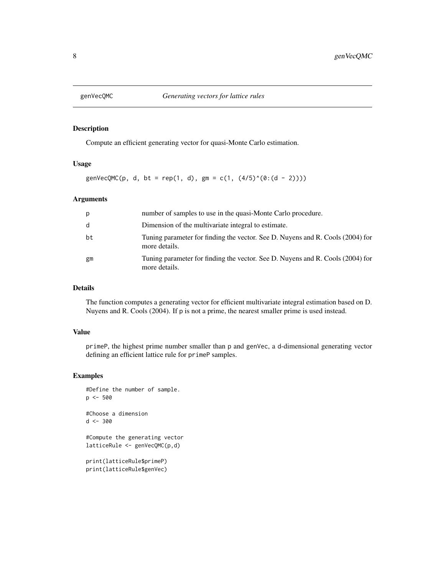<span id="page-7-0"></span>

#### Description

Compute an efficient generating vector for quasi-Monte Carlo estimation.

#### Usage

genVecQMC(p, d, bt = rep(1, d), gm = c(1,  $(4/5)^(0:(d - 2)))$ 

#### Arguments

| p  | number of samples to use in the quasi-Monte Carlo procedure.                                    |
|----|-------------------------------------------------------------------------------------------------|
| d  | Dimension of the multivariate integral to estimate.                                             |
| bt | Tuning parameter for finding the vector. See D. Nuvens and R. Cools (2004) for<br>more details. |
| gm | Tuning parameter for finding the vector. See D. Nuvens and R. Cools (2004) for<br>more details. |

#### Details

The function computes a generating vector for efficient multivariate integral estimation based on D. Nuyens and R. Cools (2004). If p is not a prime, the nearest smaller prime is used instead.

#### Value

primeP, the highest prime number smaller than p and genVec, a d-dimensional generating vector defining an efficient lattice rule for primeP samples.

#### Examples

```
#Define the number of sample.
p <- 500
#Choose a dimension
d <- 300
```
#Compute the generating vector latticeRule <- genVecQMC(p,d)

```
print(latticeRule$primeP)
print(latticeRule$genVec)
```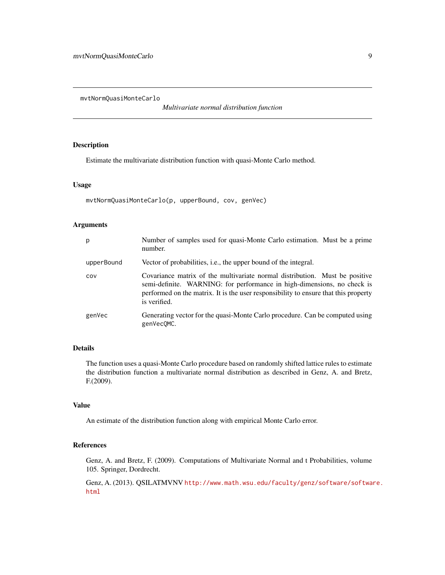<span id="page-8-0"></span>mvtNormQuasiMonteCarlo

*Multivariate normal distribution function*

#### Description

Estimate the multivariate distribution function with quasi-Monte Carlo method.

#### Usage

```
mvtNormQuasiMonteCarlo(p, upperBound, cov, genVec)
```
#### Arguments

| p          | Number of samples used for quasi-Monte Carlo estimation. Must be a prime<br>number.                                                                                                                                                                           |
|------------|---------------------------------------------------------------------------------------------------------------------------------------------------------------------------------------------------------------------------------------------------------------|
| upperBound | Vector of probabilities, <i>i.e.</i> , the upper bound of the integral.                                                                                                                                                                                       |
| COV        | Covariance matrix of the multivariate normal distribution. Must be positive<br>semi-definite. WARNING: for performance in high-dimensions, no check is<br>performed on the matrix. It is the user responsibility to ensure that this property<br>is verified. |
| genVec     | Generating vector for the quasi-Monte Carlo procedure. Can be computed using<br>genVecOMC.                                                                                                                                                                    |

#### Details

The function uses a quasi-Monte Carlo procedure based on randomly shifted lattice rules to estimate the distribution function a multivariate normal distribution as described in Genz, A. and Bretz, F.(2009).

#### Value

An estimate of the distribution function along with empirical Monte Carlo error.

#### References

Genz, A. and Bretz, F. (2009). Computations of Multivariate Normal and t Probabilities, volume 105. Springer, Dordrecht.

Genz, A. (2013). QSILATMVNV [http://www.math.wsu.edu/faculty/genz/software/softwa](http://www.math.wsu.edu/faculty/genz/software/software.html)re. [html](http://www.math.wsu.edu/faculty/genz/software/software.html)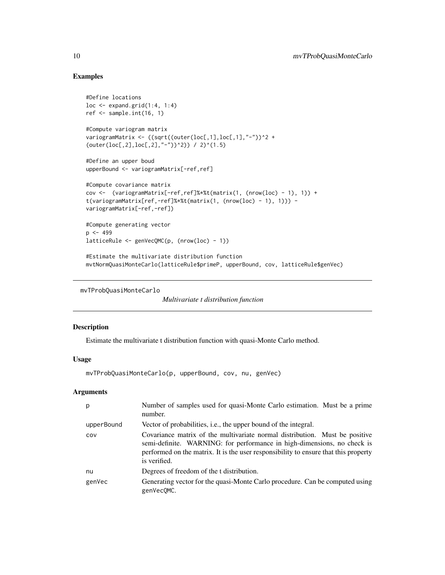### Examples

```
#Define locations
loc \leftarrow expand.grid(1:4, 1:4)ref \leq sample.int(16, 1)
#Compute variogram matrix
variogramMatrix <- ((sqrt((outer(loc[,1],loc[,1],"-"))^2 +
(outer(loc[, 2], loc[, 2], "-") (2) / 2)^(1.5)
#Define an upper boud
upperBound <- variogramMatrix[-ref,ref]
#Compute covariance matrix
cov <- (variogramMatrix[-ref,ref]%*%t(matrix(1, (nrow(loc) - 1), 1)) +
t(variogramMatrix[ref,-ref]%*%t(matrix(1, (nrow(loc) - 1), 1))) -
variogramMatrix[-ref,-ref])
#Compute generating vector
p \le -499latticeRule <- genVecQMC(p, (nrow(loc) - 1))
#Estimate the multivariate distribution function
mvtNormQuasiMonteCarlo(latticeRule$primeP, upperBound, cov, latticeRule$genVec)
```

```
mvTProbQuasiMonteCarlo
```

```
Multivariate t distribution function
```
### Description

Estimate the multivariate t distribution function with quasi-Monte Carlo method.

#### Usage

mvTProbQuasiMonteCarlo(p, upperBound, cov, nu, genVec)

| p          | Number of samples used for quasi-Monte Carlo estimation. Must be a prime<br>number.                                                                                                                                                                           |
|------------|---------------------------------------------------------------------------------------------------------------------------------------------------------------------------------------------------------------------------------------------------------------|
| upperBound | Vector of probabilities, <i>i.e.</i> , the upper bound of the integral.                                                                                                                                                                                       |
| COV        | Covariance matrix of the multivariate normal distribution. Must be positive<br>semi-definite. WARNING: for performance in high-dimensions, no check is<br>performed on the matrix. It is the user responsibility to ensure that this property<br>is verified. |
| nu         | Degrees of freedom of the t distribution.                                                                                                                                                                                                                     |
| genVec     | Generating vector for the quasi-Monte Carlo procedure. Can be computed using<br>genVecOMC.                                                                                                                                                                    |

<span id="page-9-0"></span>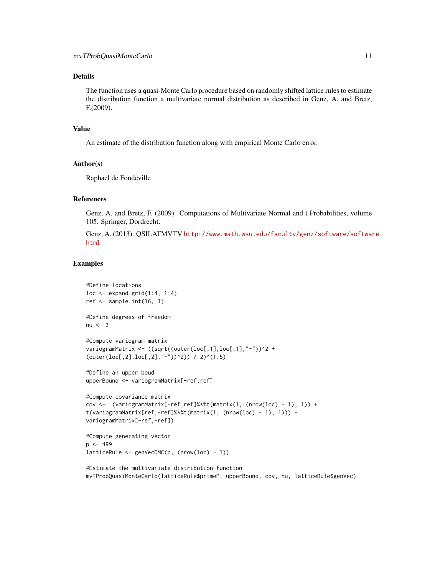#### Details

The function uses a quasi-Monte Carlo procedure based on randomly shifted lattice rules to estimate the distribution function a multivariate normal distribution as described in Genz, A. and Bretz, F.(2009).

#### Value

An estimate of the distribution function along with empirical Monte Carlo error.

#### Author(s)

Raphael de Fondeville

#### References

Genz, A. and Bretz, F. (2009). Computations of Multivariate Normal and t Probabilities, volume 105. Springer, Dordrecht.

Genz, A. (2013). QSILATMVTV [http://www.math.wsu.edu/faculty/genz/software/softwar](http://www.math.wsu.edu/faculty/genz/software/software.html)e. [html](http://www.math.wsu.edu/faculty/genz/software/software.html)

#### Examples

```
#Define locations
loc \leftarrow expand.grid(1:4, 1:4)ref \leq sample.int(16, 1)
#Define degrees of freedom
nu < -3#Compute variogram matrix
variogramMatrix <- ((sqrt((outer(loc[,1],loc[,1],"-"))^2 +
(outer(loc[,2],loc[,2],"-"))^2)) / 2)^(1.5)
#Define an upper boud
upperBound <- variogramMatrix[-ref,ref]
#Compute covariance matrix
cov <- (variogramMatrix[-ref,ref]%*%t(matrix(1, (nrow(loc) - 1), 1)) +
t(variogramMatrix[ref,-ref]%*%t(matrix(1, (nrow(loc) - 1), 1))) -
variogramMatrix[-ref,-ref])
#Compute generating vector
p <- 499
latticeRule <- genVecQMC(p, (nrow(loc) - 1))
```
#Estimate the multivariate distribution function mvTProbQuasiMonteCarlo(latticeRule\$primeP, upperBound, cov, nu, latticeRule\$genVec)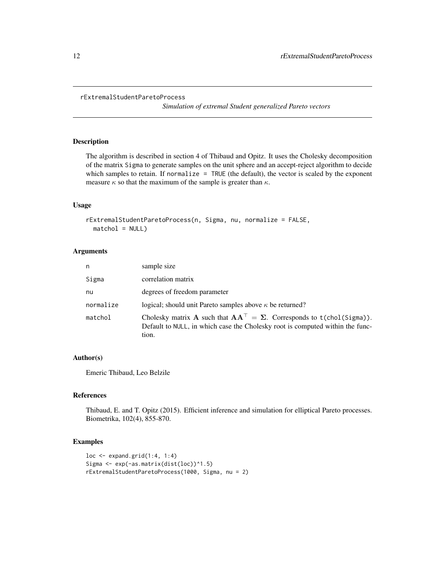```
rExtremalStudentParetoProcess
```
*Simulation of extremal Student generalized Pareto vectors*

#### Description

The algorithm is described in section 4 of Thibaud and Opitz. It uses the Cholesky decomposition of the matrix Sigma to generate samples on the unit sphere and an accept-reject algorithm to decide which samples to retain. If normalize = TRUE (the default), the vector is scaled by the exponent measure  $\kappa$  so that the maximum of the sample is greater than  $\kappa$ .

#### Usage

```
rExtremalStudentParetoProcess(n, Sigma, nu, normalize = FALSE,
 matchol = NULL)
```
#### Arguments

| n         | sample size                                                                                                                                                                 |
|-----------|-----------------------------------------------------------------------------------------------------------------------------------------------------------------------------|
| Sigma     | correlation matrix                                                                                                                                                          |
| nu        | degrees of freedom parameter                                                                                                                                                |
| normalize | logical; should unit Pareto samples above $\kappa$ be returned?                                                                                                             |
| matchol   | Cholesky matrix A such that $AA^{\top} = \Sigma$ . Corresponds to t(chol(Sigma)).<br>Default to NULL, in which case the Cholesky root is computed within the func-<br>tion. |

#### Author(s)

Emeric Thibaud, Leo Belzile

#### References

Thibaud, E. and T. Opitz (2015). Efficient inference and simulation for elliptical Pareto processes. Biometrika, 102(4), 855-870.

```
loc \leftarrow expand.grid(1:4, 1:4)Sigma <- exp(-as.matrix(dist(loc))^1.5)
rExtremalStudentParetoProcess(1000, Sigma, nu = 2)
```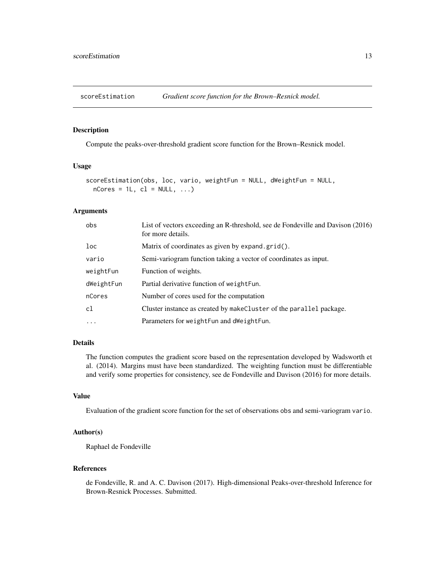<span id="page-12-0"></span>

#### Description

Compute the peaks-over-threshold gradient score function for the Brown–Resnick model.

#### Usage

```
scoreEstimation(obs, loc, vario, weightFun = NULL, dWeightFun = NULL,
 nCores = 1L, cl = NULL, ...)
```
#### Arguments

| obs             | List of vectors exceeding an R-threshold, see de Fondeville and Davison (2016)<br>for more details. |
|-----------------|-----------------------------------------------------------------------------------------------------|
| 1 <sub>oc</sub> | Matrix of coordinates as given by expand.grid().                                                    |
| vario           | Semi-variogram function taking a vector of coordinates as input.                                    |
| weightFun       | Function of weights.                                                                                |
| dWeightFun      | Partial derivative function of weight Fun.                                                          |
| nCores          | Number of cores used for the computation                                                            |
| cl              | Cluster instance as created by make Cluster of the parallel package.                                |
| $\cdot$         | Parameters for weight Fun and dweight Fun.                                                          |

#### Details

The function computes the gradient score based on the representation developed by Wadsworth et al. (2014). Margins must have been standardized. The weighting function must be differentiable and verify some properties for consistency, see de Fondeville and Davison (2016) for more details.

#### Value

Evaluation of the gradient score function for the set of observations obs and semi-variogram vario.

#### Author(s)

Raphael de Fondeville

#### References

de Fondeville, R. and A. C. Davison (2017). High-dimensional Peaks-over-threshold Inference for Brown-Resnick Processes. Submitted.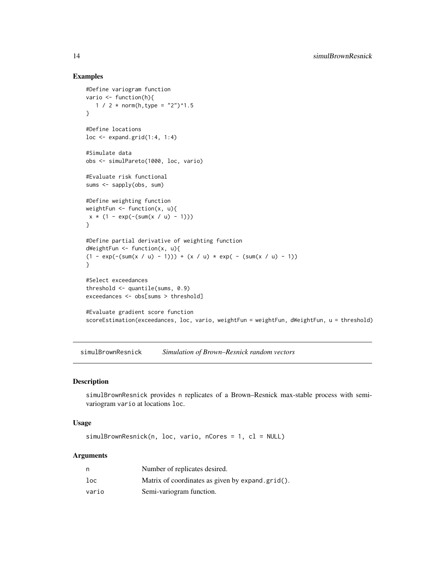#### Examples

```
#Define variogram function
vario <- function(h){
  1 / 2 * norm(h, type = "2")^1.5
}
#Define locations
loc \leftarrow expand.grid(1:4, 1:4)
#Simulate data
obs <- simulPareto(1000, loc, vario)
#Evaluate risk functional
sums <- sapply(obs, sum)
#Define weighting function
weightFun \leq function(x, u){
x * (1 - exp(-(sum(x / u) - 1)))}
#Define partial derivative of weighting function
dWeightFun <- function(x, u){
(1 - \exp(-(sum(x / u) - 1))) + (x / u) * \exp(-(sum(x / u) - 1))}
#Select exceedances
threshold \leq quantile(sums, 0.9)
exceedances <- obs[sums > threshold]
#Evaluate gradient score function
scoreEstimation(exceedances, loc, vario, weightFun = weightFun, dWeightFun, u = threshold)
```
simulBrownResnick *Simulation of Brown–Resnick random vectors*

#### Description

simulBrownResnick provides n replicates of a Brown–Resnick max-stable process with semivariogram vario at locations loc.

#### Usage

simulBrownResnick(n, loc, vario, nCores = 1, cl = NULL)

| n     | Number of replicates desired.                    |
|-------|--------------------------------------------------|
| loc   | Matrix of coordinates as given by expand.grid(). |
| vario | Semi-variogram function.                         |

<span id="page-13-0"></span>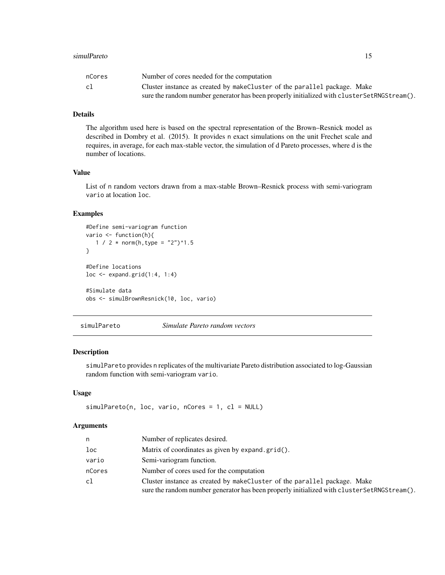#### <span id="page-14-0"></span>simulPareto the contract of the contract of the contract of the contract of the contract of the contract of the contract of the contract of the contract of the contract of the contract of the contract of the contract of th

| nCores | Number of cores needed for the computation                                                  |
|--------|---------------------------------------------------------------------------------------------|
| cl     | Cluster instance as created by makeCluster of the parallel package. Make                    |
|        | sure the random number generator has been properly initialized with cluster SetRNGStream(). |

#### Details

The algorithm used here is based on the spectral representation of the Brown–Resnick model as described in Dombry et al. (2015). It provides n exact simulations on the unit Frechet scale and requires, in average, for each max-stable vector, the simulation of d Pareto processes, where d is the number of locations.

#### Value

List of n random vectors drawn from a max-stable Brown–Resnick process with semi-variogram vario at location loc.

#### Examples

```
#Define semi-variogram function
vario <- function(h){
   1 / 2 * norm(h, type = "2")^1.5
}
#Define locations
loc <- expand.grid(1:4, 1:4)
#Simulate data
obs <- simulBrownResnick(10, loc, vario)
```
simulPareto *Simulate Pareto random vectors*

#### Description

simulPareto provides n replicates of the multivariate Pareto distribution associated to log-Gaussian random function with semi-variogram vario.

#### Usage

```
simulPareto(n, loc, vario, nCores = 1, cl = NULL)
```

| n               | Number of replicates desired.                                                                                                                                           |
|-----------------|-------------------------------------------------------------------------------------------------------------------------------------------------------------------------|
| 1 <sub>oc</sub> | Matrix of coordinates as given by expand.grid().                                                                                                                        |
| vario           | Semi-variogram function.                                                                                                                                                |
| nCores          | Number of cores used for the computation                                                                                                                                |
| cl              | Cluster instance as created by make Cluster of the parallel package. Make<br>sure the random number generator has been properly initialized with clusterSetRNGStream(). |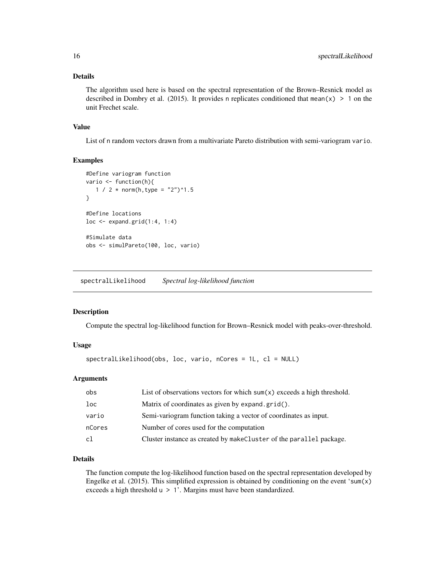#### <span id="page-15-0"></span>Details

The algorithm used here is based on the spectral representation of the Brown–Resnick model as described in Dombry et al. (2015). It provides n replicates conditioned that mean(x)  $> 1$  on the unit Frechet scale.

#### Value

List of n random vectors drawn from a multivariate Pareto distribution with semi-variogram vario.

#### Examples

```
#Define variogram function
vario <- function(h){
   1 / 2 * norm(h,type = "2")^1.5
}
#Define locations
loc \leftarrow expand.grid(1:4, 1:4)
#Simulate data
obs <- simulPareto(100, loc, vario)
```
spectralLikelihood *Spectral log-likelihood function*

#### Description

Compute the spectral log-likelihood function for Brown–Resnick model with peaks-over-threshold.

#### Usage

```
spectralLikelihood(obs, loc, vario, nCores = 1L, cl = NULL)
```
#### Arguments

| List of observations vectors for which $sum(x)$ exceeds a high threshold. |
|---------------------------------------------------------------------------|
| Matrix of coordinates as given by expand.grid().                          |
| Semi-variogram function taking a vector of coordinates as input.          |
| Number of cores used for the computation                                  |
| Cluster instance as created by makeCluster of the parallel package.       |
|                                                                           |

#### Details

The function compute the log-likelihood function based on the spectral representation developed by Engelke et al. (2015). This simplified expression is obtained by conditioning on the event 'sum(x) exceeds a high threshold  $u > 1'$ . Margins must have been standardized.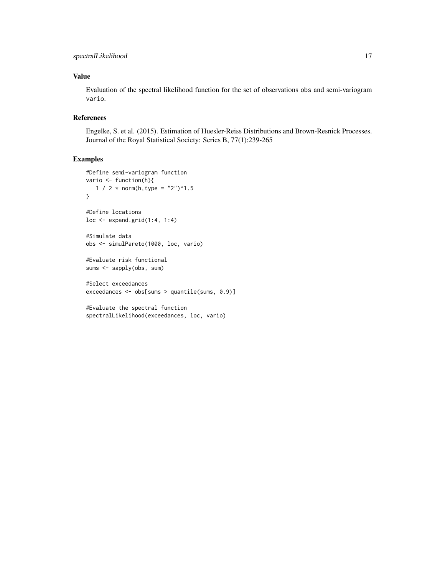### Value

Evaluation of the spectral likelihood function for the set of observations obs and semi-variogram vario.

#### References

Engelke, S. et al. (2015). Estimation of Huesler-Reiss Distributions and Brown-Resnick Processes. Journal of the Royal Statistical Society: Series B, 77(1):239-265

```
#Define semi-variogram function
vario <- function(h){
  1 / 2 * norm(h,type = "2")^1.5
}
#Define locations
loc \leftarrow expand.grid(1:4, 1:4)#Simulate data
obs <- simulPareto(1000, loc, vario)
#Evaluate risk functional
sums <- sapply(obs, sum)
#Select exceedances
exceedances <- obs[sums > quantile(sums, 0.9)]
```

```
#Evaluate the spectral function
spectralLikelihood(exceedances, loc, vario)
```